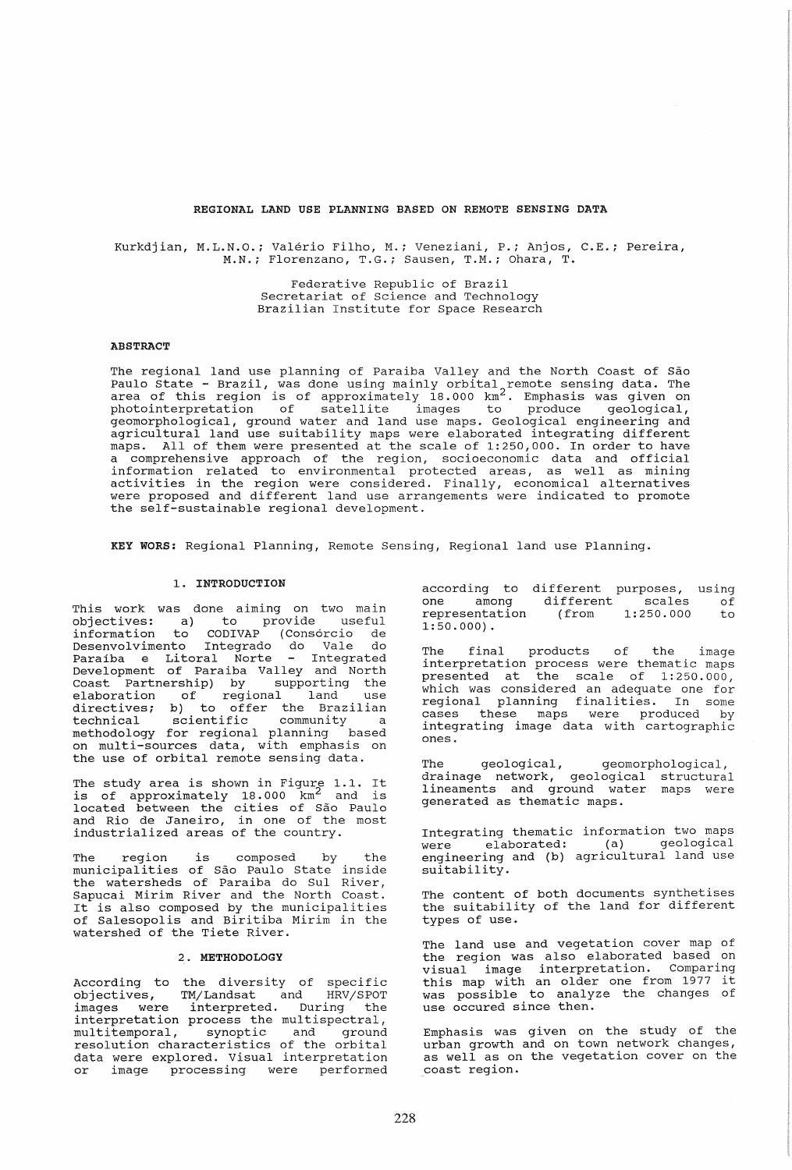### REGIONAL LAND USE PLANNING BASED ON REMOTE SENSING DATA

Kurkdjian, M.L.N.O.; Valerio Filho, M.; Veneziani, P.; Anjos, C.E.; Pereira, M.N.; Florenzano, T.G.; Sausen, T.M.; Ohara, T.

> Federative Republic of Brazil Secretariat of science and Technology Brazilian Institute for Space Research

#### **ABSTRACT**

The regional land use planning of Paraiba Valley and the North Coast of São Paulo state - Brazil, was done using mainly orbital remote sensing data. The area of this region is of approximately 18.000 km<sup>2</sup>. Emphasis was given on photointerpretation of satellite images to produce geological, geomorphological, ground water and land use maps. Geological engineering and agricultural land use suitability maps were elaborated integrating different maps. All of them were presented at the scale of 1:250,000. In order to have a comprehensive approach of the region, socioeconomic data and official a comprehensive approach of the region, socioeconomic data and official<br>information related to environmental protected areas, as well as mining activities in the region were considered. Finally, economical alternatives<br>were proposed and different land use arrangements were indicated to promote the self-sustainable regional development.

KEY WORS: Regional Planning, Remote Sensing, Regional land use Planning.

## 1. INTRODUCTION

This work was done aiming on two main objectives: a) to provide useful information to CODIVAP (Consorcio de Desenvol vimento Integrado do Vale do Paraíba e Litoral Norte - Integrated Development of Paraiba Valley and North Coast Partnership) by supporting the elaboration of regional land use directives; b) to offer the Brazilian directives, b, as siled the Brasilian<br>technical scientific community a methodology for regional planning based<br>on multi-sources data, with emphasis on<br>the use of orbital remote sensing data.

The study area is shown in Figure 1.1. It is of approximately 18.000 km<sup>2</sup> and is 15 Of approximately 10:000 Am and 15 and Rio de Janeiro, in one of the most industrialized areas of the country.

The region is composed by the municipalities of Sao Paulo state inside the watersheds of Paraiba do SuI River, Sapucai Mirim River and the North Coast. It is also composed by the municipalities of Salesopolis and Biritiba Mirim in the watershed of the Tiete River.

# 2. METHODOLOGY

According to the diversity of specific objectives, TM/Landsat and HRV/SPOT images were interpreted. During the Independence of the multispectral,<br>
interpretation process the multispectral,<br>
multitemporal, synoptic and ground multitemporal, synoptic and ground<br>resolution characteristics of the orbital data were explored. Visual interpretation or image processing were performed

according to different purposes, using<br>one among different scales of one among<br>representation  $1:50.000$ . ifferent purposes,<br>different scales<br>(from 1:250.000 1:250.000 of to

The final products of the image interpretation process were thematic maps presented at the scale of 1:250.000, which was considered an adequate one for regional planning finalities. In some cases these maps were produced by integrating image data with cartographic<br>ones.

The geological, geomorphological, drainage network, geological structural lineaments and ground water maps were generated as thematic maps.

Integrating thematic information two maps were elaborated: (a) geological engineering and (b) agricultural land use suitability.

The content of both documents synthetises the suitability of the land for different types of use.

The land use and vegetation cover map of<br>the region was also elaborated based on the region was also elaborated based on visual image interpretation. Comparing this map with an older one from 1977 it was possible to analyze the changes of was possible to analyze the changes of<br>use occured since then.

Emphasis was given on the study of the urban growth and on town network changes, as well as on the vegetation cover on the as well as on the vegetation cover on the<br>coast region.